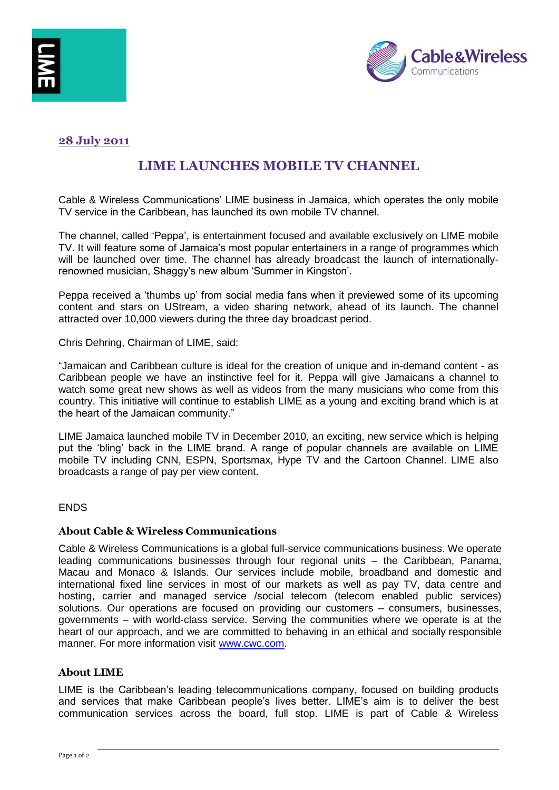



# **28 July 2011**

# **LIME LAUNCHES MOBILE TV CHANNEL**

Cable & Wireless Communications" LIME business in Jamaica, which operates the only mobile TV service in the Caribbean, has launched its own mobile TV channel.

The channel, called "Peppa", is entertainment focused and available exclusively on LIME mobile TV. It will feature some of Jamaica"s most popular entertainers in a range of programmes which will be launched over time. The channel has already broadcast the launch of internationallyrenowned musician, Shaggy's new album 'Summer in Kingston'.

Peppa received a "thumbs up" from social media fans when it previewed some of its upcoming content and stars on UStream, a video sharing network, ahead of its launch. The channel attracted over 10,000 viewers during the three day broadcast period.

Chris Dehring, Chairman of LIME, said:

"Jamaican and Caribbean culture is ideal for the creation of unique and in-demand content - as Caribbean people we have an instinctive feel for it. Peppa will give Jamaicans a channel to watch some great new shows as well as videos from the many musicians who come from this country. This initiative will continue to establish LIME as a young and exciting brand which is at the heart of the Jamaican community."

LIME Jamaica launched mobile TV in December 2010, an exciting, new service which is helping put the "bling" back in the LIME brand. A range of popular channels are available on LIME mobile TV including CNN, ESPN, Sportsmax, Hype TV and the Cartoon Channel. LIME also broadcasts a range of pay per view content.

#### ENDS

## **About Cable & Wireless Communications**

Cable & Wireless Communications is a global full-service communications business. We operate leading communications businesses through four regional units – the Caribbean, Panama, Macau and Monaco & Islands. Our services include mobile, broadband and domestic and international fixed line services in most of our markets as well as pay TV, data centre and hosting, carrier and managed service /social telecom (telecom enabled public services) solutions. Our operations are focused on providing our customers – consumers, businesses, governments – with world-class service. Serving the communities where we operate is at the heart of our approach, and we are committed to behaving in an ethical and socially responsible manner. For more information visit [www.cwc.com.](http://www.cwc.com/)

#### **About LIME**

LIME is the Caribbean"s leading telecommunications company, focused on building products and services that make Caribbean people's lives better. LIME's aim is to deliver the best communication services across the board, full stop. LIME is part of Cable & Wireless